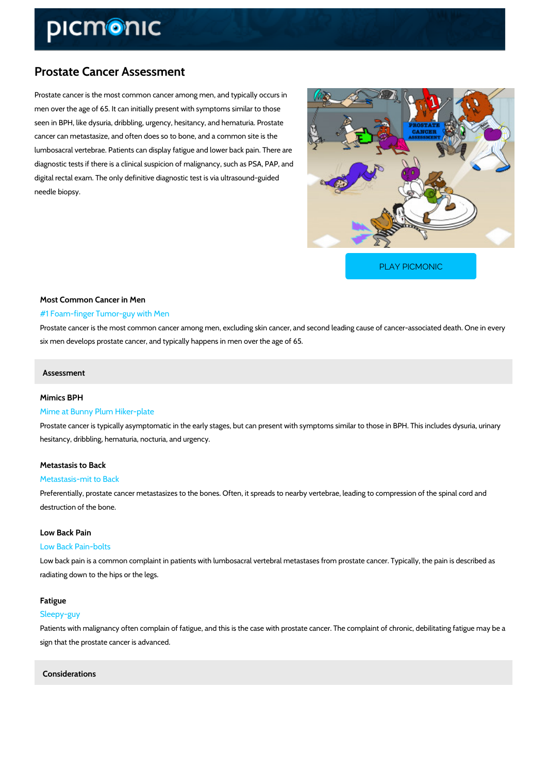# Prostate Cancer Assessment

Prostate cancer is the most common cancer among men, and typically occurs in men over the age of 65. It can initially present with symptoms similar to those seen in BPH, like dysuria, dribbling, urgency, hesitancy, and hematuria. Prostate cancer can metastasize, and often does so to bone, and a common site is the lumbosacral vertebrae. Patients can display fatigue and lower back pain. There are diagnostic tests if there is a clinical suspicion of malignancy, such as PSA, PAP, and digital rectal exam. The only definitive diagnostic test is via ultrasound-guided needle biopsy.

[PLAY PICMONIC](https://www.picmonic.com/learn/prostate-cancer-assessment_2066?utm_source=downloadable_content&utm_medium=distributedcontent&utm_campaign=pathways_pdf&utm_content=Prostate Cancer Assessment&utm_ad_group=leads&utm_market=all)

# Most Common Cancer in Men #1 Foam-finger Tumor-guy with Men

Prostate cancer is the most common cancer among men, excluding skin cancer, and second leading cancersix men develops prostate cancer, and typically happens in men over the age of 65.

#### Assessment

#### Mimics BPH

#### Mime at Bunny Plum Hiker-plate

Prostate cancer is typically asymptomatic in the early stages, but can present with symptoms hesitancy, dribbling, hematuria, nocturia, and urgency.

#### Metastasis to Back

#### Metastasis-mit to Back

Preferentially, prostate cancer metastasizes to the bones. Often, it spreads to nearby vertebr destruction of the bone.

#### Low Back Pain

### Low Back Pain-bolts

Low back pain is a common complaint in patients with lumbosacral vertebral metastases from radiating down to the hips or the legs.

## Fatigue

#### Sleepy-guy

Patients with malignancy often complain of fatigue, and this is the case with prostate cancer. sign that the prostate cancer is advanced.

## Considerations